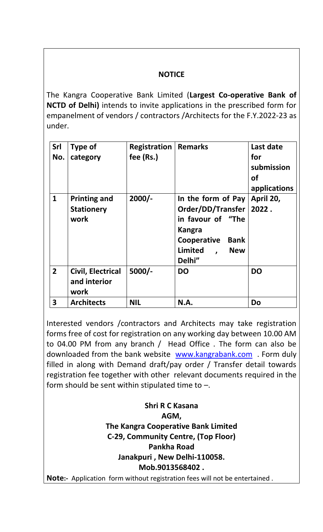## **NOTICE**

The Kangra Cooperative Bank Limited (**Largest Co-operative Bank of NCTD of Delhi)** intends to invite applications in the prescribed form for empanelment of vendors / contractors /Architects for the F.Y.2022-23 as under.

| <b>Srl</b><br>No. | <b>Type of</b><br>category                       | Registration<br>fee (Rs.) | <b>Remarks</b>                                                                                                                                          | Last date<br>for<br>submission<br><b>of</b><br>applications |
|-------------------|--------------------------------------------------|---------------------------|---------------------------------------------------------------------------------------------------------------------------------------------------------|-------------------------------------------------------------|
| $\mathbf{1}$      | <b>Printing and</b><br><b>Stationery</b><br>work | $2000/-$                  | In the form of Pay<br>Order/DD/Transfer<br>in favour of "The<br>Kangra<br>Cooperative<br><b>Bank</b><br>Limited<br><b>New</b><br>$\mathbf{r}$<br>Delhi" | April 20,<br>2022.                                          |
| $\overline{2}$    | Civil, Electrical<br>and interior<br>work        | $5000/-$                  | <b>DO</b>                                                                                                                                               | <b>DO</b>                                                   |
| 3                 | <b>Architects</b>                                | <b>NIL</b>                | N.A.                                                                                                                                                    | Do                                                          |

Interested vendors /contractors and Architects may take registration forms free of cost for registration on any working day between 10.00 AM to 04.00 PM from any branch / Head Office . The form can also be downloaded from the bank website [www.kangrabank.com](http://www.kangrabank.com/) . Form duly filled in along with Demand draft/pay order / Transfer detail towards registration fee together with other relevant documents required in the form should be sent within stipulated time to  $-$ .

**Shri R C Kasana AGM, The Kangra Cooperative Bank Limited C-29, Community Centre, (Top Floor) Pankha Road Janakpuri , New Delhi-110058. Mob.9013568402 .**

**Note:-** Application form without registration fees will not be entertained .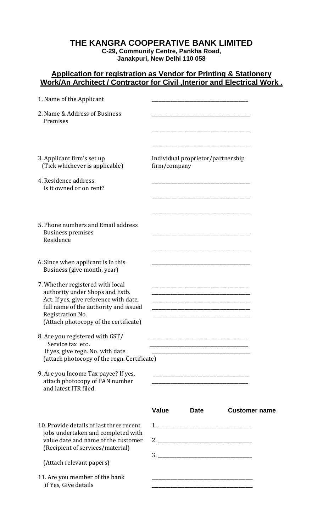## **THE KANGRA COOPERATIVE BANK LIMITED**

**C-29, Community Centre, Pankha Road, Janakpuri, New Delhi 110 058**

## **Application for registration as Vendor for Printing & Stationery Work/An Architect / Contractor for Civil ,Interior and Electrical Work .**

| 1. Name of the Applicant                                                                                                                                                                                            |                                                                                                                              |                      |
|---------------------------------------------------------------------------------------------------------------------------------------------------------------------------------------------------------------------|------------------------------------------------------------------------------------------------------------------------------|----------------------|
| 2. Name & Address of Business<br>Premises                                                                                                                                                                           |                                                                                                                              |                      |
| 3. Applicant firm's set up<br>(Tick whichever is applicable)<br>4. Residence address.<br>Is it owned or on rent?                                                                                                    | Individual proprietor/partnership<br>firm/company                                                                            |                      |
| 5. Phone numbers and Email address<br><b>Business premises</b><br>Residence                                                                                                                                         |                                                                                                                              |                      |
| 6. Since when applicant is in this<br>Business (give month, year)                                                                                                                                                   |                                                                                                                              |                      |
| 7. Whether registered with local<br>authority under Shops and Estb.<br>Act. If yes, give reference with date,<br>full name of the authority and issued<br>Registration No.<br>(Attach photocopy of the certificate) | <u> 1980 - Johann Barn, margaret eta idazlear (h. 1980).</u><br><u> 1980 - Johann Barn, margaret eta idazlear (h. 1980).</u> |                      |
| 8. Are you registered with GST/<br>Service tax etc.<br>If yes, give regn. No. with date<br>(attach photocopy of the regn. Certificate)                                                                              |                                                                                                                              |                      |
| 9. Are you Income Tax payee? If yes,<br>attach photocopy of PAN number<br>and latest ITR filed.                                                                                                                     | <u> 1980 - Jan James James Barnett, fransk politik (d. 1980)</u>                                                             |                      |
|                                                                                                                                                                                                                     | <b>Value</b><br><b>Date</b>                                                                                                  | <b>Customer name</b> |
| 10. Provide details of last three recent<br>jobs undertaken and completed with<br>value date and name of the customer<br>(Recipient of services/material)                                                           |                                                                                                                              |                      |
| (Attach relevant papers)                                                                                                                                                                                            |                                                                                                                              |                      |
| 11. Are you member of the bank<br>if Yes, Give details                                                                                                                                                              | <u> 1980 - Johann Barn, mars an t-Amerikaansk politiker (</u>                                                                |                      |